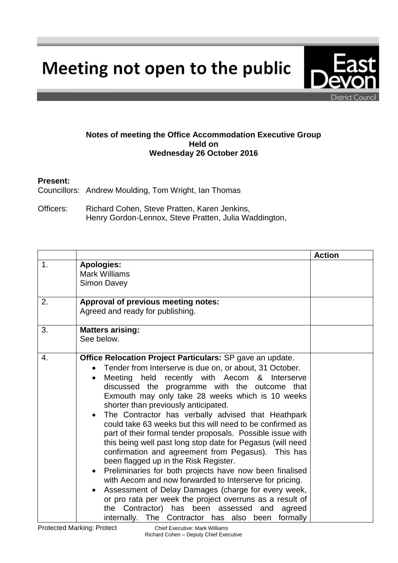Meeting not open to the public

## **Notes of meeting the Office Accommodation Executive Group Held on Wednesday 26 October 2016**

## **Present:**

Councillors: Andrew Moulding, Tom Wright, Ian Thomas

Officers: Richard Cohen, Steve Pratten, Karen Jenkins, Henry Gordon-Lennox, Steve Pratten, Julia Waddington,

|               |                                                                                                                                                                                                                                                                                                                                                                                                                                                                                                                                                                                                                                                                                                                                                                                                                                                                                                                                                                                                                                                                    | <b>Action</b> |
|---------------|--------------------------------------------------------------------------------------------------------------------------------------------------------------------------------------------------------------------------------------------------------------------------------------------------------------------------------------------------------------------------------------------------------------------------------------------------------------------------------------------------------------------------------------------------------------------------------------------------------------------------------------------------------------------------------------------------------------------------------------------------------------------------------------------------------------------------------------------------------------------------------------------------------------------------------------------------------------------------------------------------------------------------------------------------------------------|---------------|
| $\mathbf 1$ . | <b>Apologies:</b><br><b>Mark Williams</b><br><b>Simon Davey</b>                                                                                                                                                                                                                                                                                                                                                                                                                                                                                                                                                                                                                                                                                                                                                                                                                                                                                                                                                                                                    |               |
| 2.            | Approval of previous meeting notes:<br>Agreed and ready for publishing.                                                                                                                                                                                                                                                                                                                                                                                                                                                                                                                                                                                                                                                                                                                                                                                                                                                                                                                                                                                            |               |
| 3.            | <b>Matters arising:</b><br>See below.                                                                                                                                                                                                                                                                                                                                                                                                                                                                                                                                                                                                                                                                                                                                                                                                                                                                                                                                                                                                                              |               |
| 4.            | <b>Office Relocation Project Particulars:</b> SP gave an update.<br>Tender from Interserve is due on, or about, 31 October.<br>Meeting held recently with Aecom & Interserve<br>$\bullet$<br>discussed the programme with the outcome that<br>Exmouth may only take 28 weeks which is 10 weeks<br>shorter than previously anticipated.<br>The Contractor has verbally advised that Heathpark<br>$\bullet$<br>could take 63 weeks but this will need to be confirmed as<br>part of their formal tender proposals. Possible issue with<br>this being well past long stop date for Pegasus (will need<br>confirmation and agreement from Pegasus). This has<br>been flagged up in the Risk Register.<br>Preliminaries for both projects have now been finalised<br>$\bullet$<br>with Aecom and now forwarded to Interserve for pricing.<br>Assessment of Delay Damages (charge for every week,<br>or pro rata per week the project overruns as a result of<br>the Contractor) has been assessed<br>and<br>agreed<br>internally. The Contractor has also been formally |               |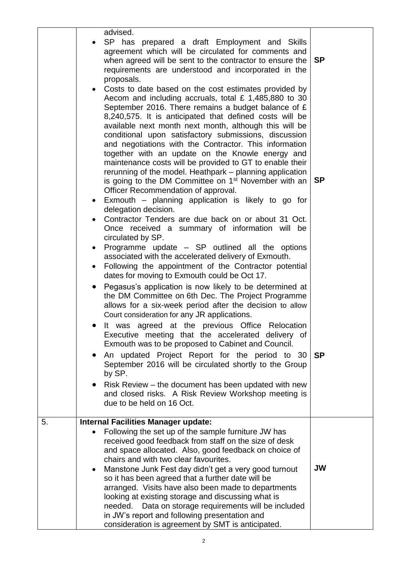|    | $\bullet$<br>$\bullet$<br>$\bullet$ | advised.<br>SP has prepared a draft Employment and Skills<br>agreement which will be circulated for comments and<br>when agreed will be sent to the contractor to ensure the<br>requirements are understood and incorporated in the<br>proposals.<br>Costs to date based on the cost estimates provided by<br>Aecom and including accruals, total $£ 1,485,880$ to 30<br>September 2016. There remains a budget balance of $E$<br>8,240,575. It is anticipated that defined costs will be<br>available next month next month, although this will be<br>conditional upon satisfactory submissions, discussion<br>and negotiations with the Contractor. This information<br>together with an update on the Knowle energy and<br>maintenance costs will be provided to GT to enable their<br>rerunning of the model. Heathpark - planning application<br>is going to the DM Committee on 1 <sup>st</sup> November with an<br>Officer Recommendation of approval.<br>Exmouth – planning application is likely to go for<br>delegation decision.<br>Contractor Tenders are due back on or about 31 Oct.<br>Once received a summary of information will be<br>circulated by SP.<br>Programme update – SP outlined all the options<br>associated with the accelerated delivery of Exmouth.<br>Following the appointment of the Contractor potential | <b>SP</b><br><b>SP</b> |
|----|-------------------------------------|----------------------------------------------------------------------------------------------------------------------------------------------------------------------------------------------------------------------------------------------------------------------------------------------------------------------------------------------------------------------------------------------------------------------------------------------------------------------------------------------------------------------------------------------------------------------------------------------------------------------------------------------------------------------------------------------------------------------------------------------------------------------------------------------------------------------------------------------------------------------------------------------------------------------------------------------------------------------------------------------------------------------------------------------------------------------------------------------------------------------------------------------------------------------------------------------------------------------------------------------------------------------------------------------------------------------------------------------|------------------------|
|    | $\bullet$                           | dates for moving to Exmouth could be Oct 17.<br>Pegasus's application is now likely to be determined at<br>the DM Committee on 6th Dec. The Project Programme<br>allows for a six-week period after the decision to allow<br>Court consideration for any JR applications.<br>It was agreed at the previous Office Relocation<br>Executive meeting that the accelerated delivery of<br>Exmouth was to be proposed to Cabinet and Council.<br>An updated Project Report for the period to 30<br>September 2016 will be circulated shortly to the Group                                                                                                                                                                                                                                                                                                                                                                                                                                                                                                                                                                                                                                                                                                                                                                                         | <b>SP</b>              |
|    |                                     | by SP.<br>Risk Review – the document has been updated with new<br>and closed risks. A Risk Review Workshop meeting is<br>due to be held on 16 Oct.                                                                                                                                                                                                                                                                                                                                                                                                                                                                                                                                                                                                                                                                                                                                                                                                                                                                                                                                                                                                                                                                                                                                                                                           |                        |
| 5. |                                     | <b>Internal Facilities Manager update:</b>                                                                                                                                                                                                                                                                                                                                                                                                                                                                                                                                                                                                                                                                                                                                                                                                                                                                                                                                                                                                                                                                                                                                                                                                                                                                                                   |                        |
|    |                                     | Following the set up of the sample furniture JW has<br>received good feedback from staff on the size of desk<br>and space allocated. Also, good feedback on choice of<br>chairs and with two clear favourites.<br>Manstone Junk Fest day didn't get a very good turnout<br>so it has been agreed that a further date will be<br>arranged. Visits have also been made to departments<br>looking at existing storage and discussing what is<br>Data on storage requirements will be included<br>needed.                                                                                                                                                                                                                                                                                                                                                                                                                                                                                                                                                                                                                                                                                                                                                                                                                                        | <b>JW</b>              |
|    |                                     | in JW's report and following presentation and<br>consideration is agreement by SMT is anticipated.                                                                                                                                                                                                                                                                                                                                                                                                                                                                                                                                                                                                                                                                                                                                                                                                                                                                                                                                                                                                                                                                                                                                                                                                                                           |                        |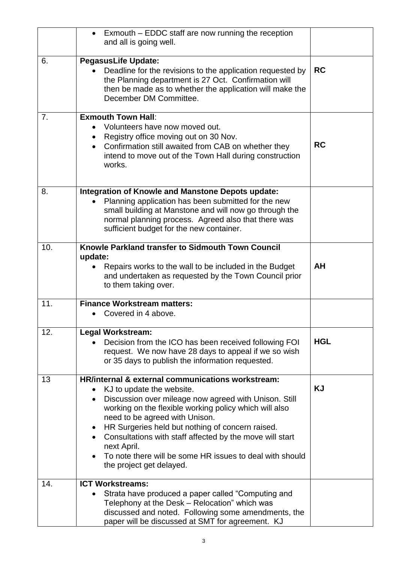|     | Exmouth – EDDC staff are now running the reception<br>$\bullet$<br>and all is going well.                                                                                                                                                                                                                                                                                                                                                                                            |            |
|-----|--------------------------------------------------------------------------------------------------------------------------------------------------------------------------------------------------------------------------------------------------------------------------------------------------------------------------------------------------------------------------------------------------------------------------------------------------------------------------------------|------------|
| 6.  | <b>PegasusLife Update:</b><br>Deadline for the revisions to the application requested by<br>the Planning department is 27 Oct. Confirmation will<br>then be made as to whether the application will make the<br>December DM Committee.                                                                                                                                                                                                                                               | <b>RC</b>  |
| 7.  | <b>Exmouth Town Hall:</b><br>Volunteers have now moved out.<br>Registry office moving out on 30 Nov.<br>$\bullet$<br>Confirmation still awaited from CAB on whether they<br>$\bullet$<br>intend to move out of the Town Hall during construction<br>works.                                                                                                                                                                                                                           | <b>RC</b>  |
| 8.  | <b>Integration of Knowle and Manstone Depots update:</b><br>Planning application has been submitted for the new<br>$\bullet$<br>small building at Manstone and will now go through the<br>normal planning process. Agreed also that there was<br>sufficient budget for the new container.                                                                                                                                                                                            |            |
| 10. | Knowle Parkland transfer to Sidmouth Town Council<br>update:<br>Repairs works to the wall to be included in the Budget<br>and undertaken as requested by the Town Council prior<br>to them taking over.                                                                                                                                                                                                                                                                              | <b>AH</b>  |
| 11. | <b>Finance Workstream matters:</b><br>Covered in 4 above.                                                                                                                                                                                                                                                                                                                                                                                                                            |            |
| 12. | <b>Legal Workstream:</b><br>Decision from the ICO has been received following FOI<br>request. We now have 28 days to appeal if we so wish<br>or 35 days to publish the information requested.                                                                                                                                                                                                                                                                                        | <b>HGL</b> |
| 13  | HR/internal & external communications workstream:<br>KJ to update the website.<br>Discussion over mileage now agreed with Unison. Still<br>$\bullet$<br>working on the flexible working policy which will also<br>need to be agreed with Unison.<br>HR Surgeries held but nothing of concern raised.<br>$\bullet$<br>Consultations with staff affected by the move will start<br>next April.<br>To note there will be some HR issues to deal with should<br>the project get delayed. | KJ         |
| 14. | <b>ICT Workstreams:</b><br>Strata have produced a paper called "Computing and<br>$\bullet$<br>Telephony at the Desk - Relocation" which was<br>discussed and noted. Following some amendments, the<br>paper will be discussed at SMT for agreement. KJ                                                                                                                                                                                                                               |            |